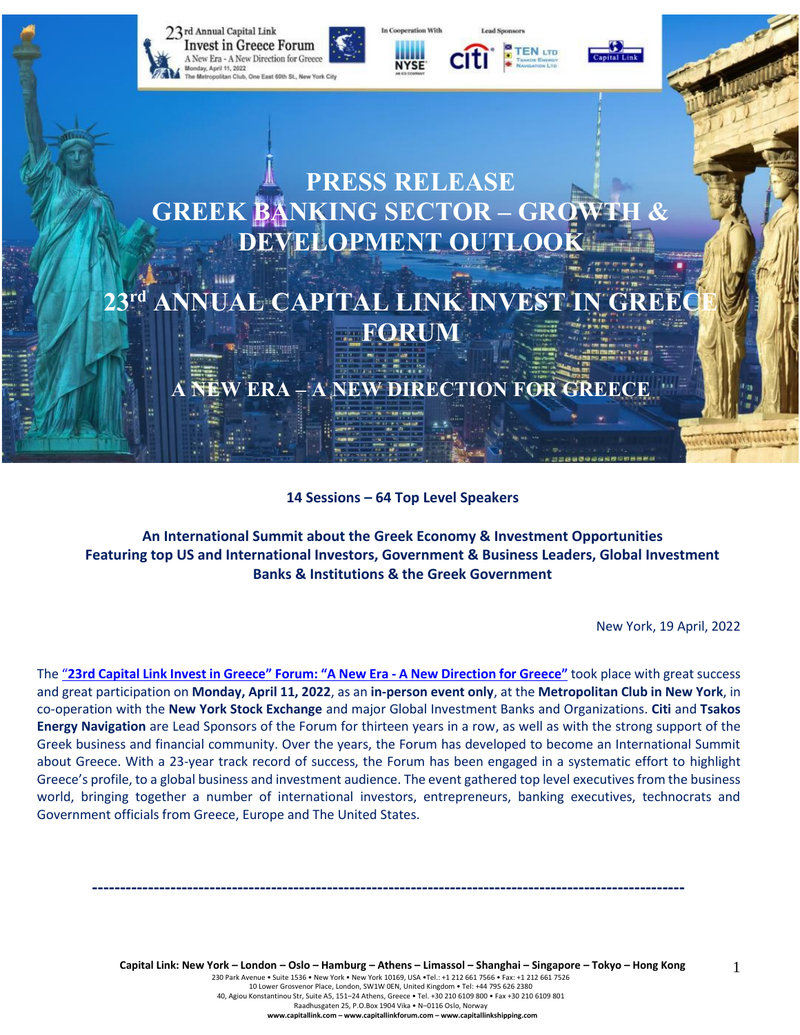

**14 Sessions – 64 Top Level Speakers**

**An International Summit about the Greek Economy & Investment Opportunities Featuring top US and International Investors, Government & Business Leaders, Global Investment Banks & Institutions & the Greek Government**

New York, 19 April, 2022

The "23rd Capital Link Invest in Greece" Forum: "A New Era - A New [Direction](https://forums.capitallink.com/greece/2021/) for Greece" took place with great success and great participation on **Monday, April 11, 2022**, as an **in-person event only**, at the **Metropolitan Club in New York**, in co-operation with the **New York Stock Exchange** and major Global Investment Banks and Organizations. **Citi** and **Tsakos Energy Navigation** are Lead Sponsors of the Forum for thirteen years in a row, as well as with the strong support of the Greek business and financial community. Over the years, the Forum has developed to become an International Summit about Greece. With a 23-year track record of success, the Forum has been engaged in a systematic effort to highlight Greece's profile, to a global business and investment audience. The event gathered top level executives from the business world, bringing together a number of international investors, entrepreneurs, banking executives, technocrats and Government officials from Greece, Europe and The United States.

**----------------------------------------------------------------------------------------------------------**

Capital Link: New York - London - Oslo - Hamburg - Athens - Limassol - Shanghai - Singapore - Tokyo - Hong Kong 230 Park Avenue • Suite 1536 • New York • New York 10169, USA •Tel.: +1 212 661 7566 • Fax: +1 212 661 7526 10 Lower Grosvenor Place, London, SW1W 0EN, United Kingdom • Tel: +44 795 626 2380 40, Agiou Konstantinou Str, Suite A5, 151–24 Athens, Greece • Tel. +30 210 6109 800 • Fax +30 210 6109 801 Raadhusgaten 25, P.O.Box 1904 Vika • N–0116 Oslo, Norway **www.capitallink.com – www.capitallinkforum.com – www.capitallinkshipping.com**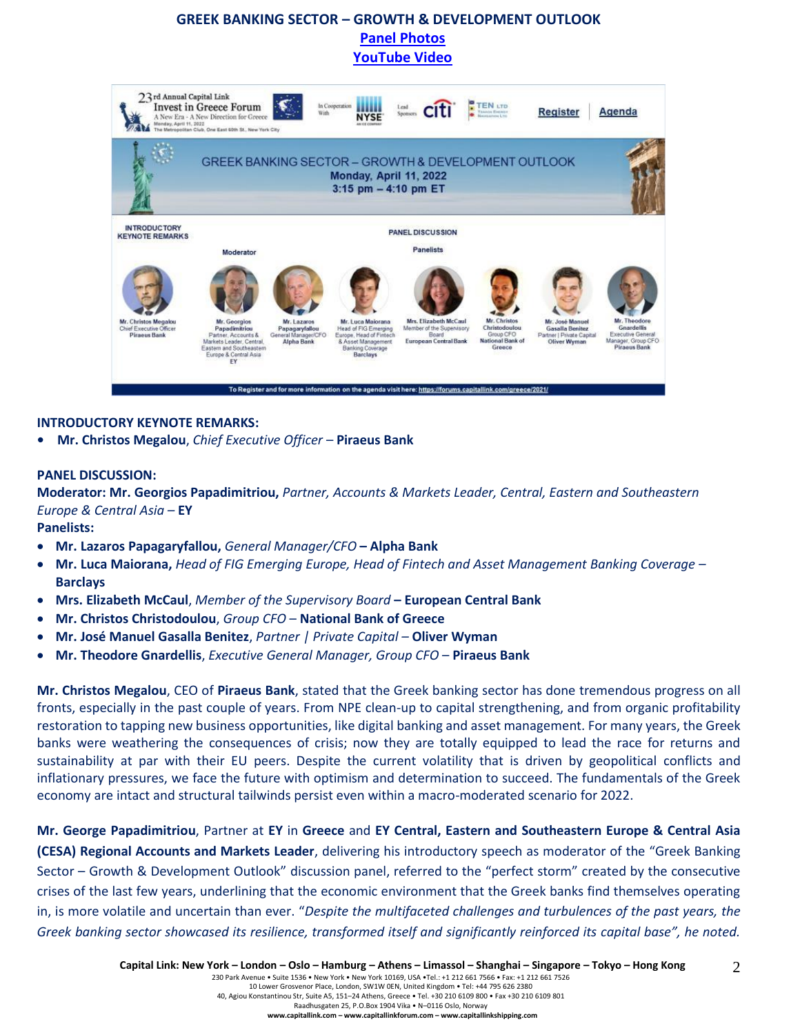# **GREEK BANKING SECTOR – GROWTH & DEVELOPMENT OUTLOOK [Panel Photos](https://forums.capitallink.com/greece/2021/images/zip/GREEK-BANIKING-SECTOR-PANEL.zip)  [YouTube Video](https://youtu.be/8tEnrDq_FS4)**



#### **INTRODUCTORY KEYNOTE REMARKS:**

**• Mr. Christos Megalou**, *Chief Executive Officer* – **Piraeus Bank**

#### **PANEL DISCUSSION:**

**Moderator: Mr. Georgios Papadimitriou,** *Partner, Accounts & Markets Leader, Central, Eastern and Southeastern Europe & Central Asia –* **EY** 

**Panelists:**

- **Mr. Lazaros Papagaryfallou,** *General Manager/CFO* **– Alpha Bank**
- **Mr. Luca Maiorana,** *Head of FIG Emerging Europe, Head of Fintech and Asset Management Banking Coverage –* **Barclays**
- **Mrs. Elizabeth McCaul**, *Member of the Supervisory Board* **– European Central Bank**
- **Mr. Christos Christodoulou**, *Group CFO* **National Bank of Greece**
- **Mr. José Manuel Gasalla Benitez**, *Partner | Private Capital –* **Oliver Wyman**
- **Mr. Theodore Gnardellis**, *Executive General Manager, Group CFO* **Piraeus Bank**

**Mr. Christos Megalou**, CEO of **Piraeus Bank**, stated that the Greek banking sector has done tremendous progress on all fronts, especially in the past couple of years. From NPE clean-up to capital strengthening, and from organic profitability restoration to tapping new business opportunities, like digital banking and asset management. For many years, the Greek banks were weathering the consequences of crisis; now they are totally equipped to lead the race for returns and sustainability at par with their EU peers. Despite the current volatility that is driven by geopolitical conflicts and inflationary pressures, we face the future with optimism and determination to succeed. The fundamentals of the Greek economy are intact and structural tailwinds persist even within a macro-moderated scenario for 2022.

**Mr. George Papadimitriou**, Partner at **EY** in **Greece** and **EY Central, Eastern and Southeastern Europe & Central Asia (CESA) Regional Accounts and Markets Leader**, delivering his introductory speech as moderator of the "Greek Banking Sector – Growth & Development Outlook" discussion panel, referred to the "perfect storm" created by the consecutive crises of the last few years, underlining that the economic environment that the Greek banks find themselves operating in, is more volatile and uncertain than ever. "*Despite the multifaceted challenges and turbulences of the past years, the Greek banking sector showcased its resilience, transformed itself and significantly reinforced its capital base", he noted.*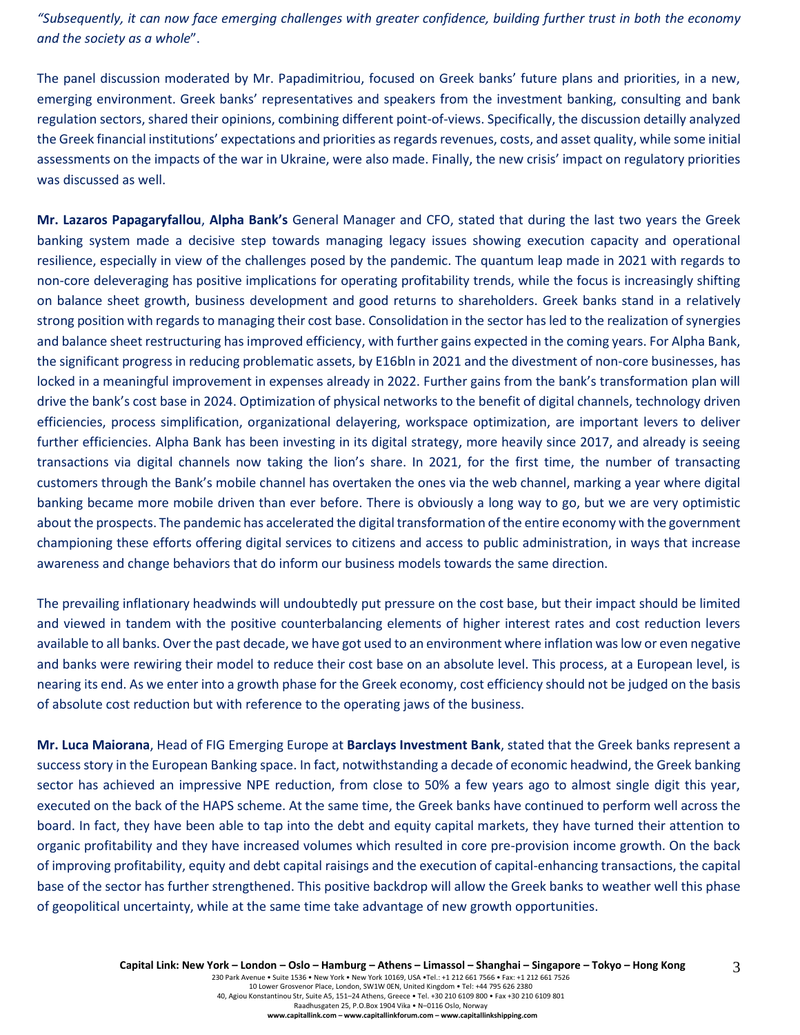*"Subsequently, it can now face emerging challenges with greater confidence, building further trust in both the economy and the society as a whole*".

The panel discussion moderated by Mr. Papadimitriou, focused on Greek banks' future plans and priorities, in a new, emerging environment. Greek banks' representatives and speakers from the investment banking, consulting and bank regulation sectors, shared their opinions, combining different point-of-views. Specifically, the discussion detailly analyzed the Greek financial institutions' expectations and priorities as regards revenues, costs, and asset quality, while some initial assessments on the impacts of the war in Ukraine, were also made. Finally, the new crisis' impact on regulatory priorities was discussed as well.

**Mr. Lazaros Papagaryfallou**, **Alpha Bank's** General Manager and CFO, stated that during the last two years the Greek banking system made a decisive step towards managing legacy issues showing execution capacity and operational resilience, especially in view of the challenges posed by the pandemic. The quantum leap made in 2021 with regards to non-core deleveraging has positive implications for operating profitability trends, while the focus is increasingly shifting on balance sheet growth, business development and good returns to shareholders. Greek banks stand in a relatively strong position with regards to managing their cost base. Consolidation in the sector has led to the realization of synergies and balance sheet restructuring has improved efficiency, with further gains expected in the coming years. For Alpha Bank, the significant progress in reducing problematic assets, by E16bln in 2021 and the divestment of non-core businesses, has locked in a meaningful improvement in expenses already in 2022. Further gains from the bank's transformation plan will drive the bank's cost base in 2024. Optimization of physical networks to the benefit of digital channels, technology driven efficiencies, process simplification, organizational delayering, workspace optimization, are important levers to deliver further efficiencies. Alpha Bank has been investing in its digital strategy, more heavily since 2017, and already is seeing transactions via digital channels now taking the lion's share. In 2021, for the first time, the number of transacting customers through the Bank's mobile channel has overtaken the ones via the web channel, marking a year where digital banking became more mobile driven than ever before. There is obviously a long way to go, but we are very optimistic about the prospects. The pandemic has accelerated the digital transformation of the entire economy with the government championing these efforts offering digital services to citizens and access to public administration, in ways that increase awareness and change behaviors that do inform our business models towards the same direction.

The prevailing inflationary headwinds will undoubtedly put pressure on the cost base, but their impact should be limited and viewed in tandem with the positive counterbalancing elements of higher interest rates and cost reduction levers available to all banks. Over the past decade, we have got used to an environment where inflation was low or even negative and banks were rewiring their model to reduce their cost base on an absolute level. This process, at a European level, is nearing its end. As we enter into a growth phase for the Greek economy, cost efficiency should not be judged on the basis of absolute cost reduction but with reference to the operating jaws of the business.

**Mr. Luca Maiorana**, Head of FIG Emerging Europe at **Barclays Investment Bank**, stated that the Greek banks represent a success story in the European Banking space. In fact, notwithstanding a decade of economic headwind, the Greek banking sector has achieved an impressive NPE reduction, from close to 50% a few years ago to almost single digit this year, executed on the back of the HAPS scheme. At the same time, the Greek banks have continued to perform well across the board. In fact, they have been able to tap into the debt and equity capital markets, they have turned their attention to organic profitability and they have increased volumes which resulted in core pre-provision income growth. On the back of improving profitability, equity and debt capital raisings and the execution of capital-enhancing transactions, the capital base of the sector has further strengthened. This positive backdrop will allow the Greek banks to weather well this phase of geopolitical uncertainty, while at the same time take advantage of new growth opportunities.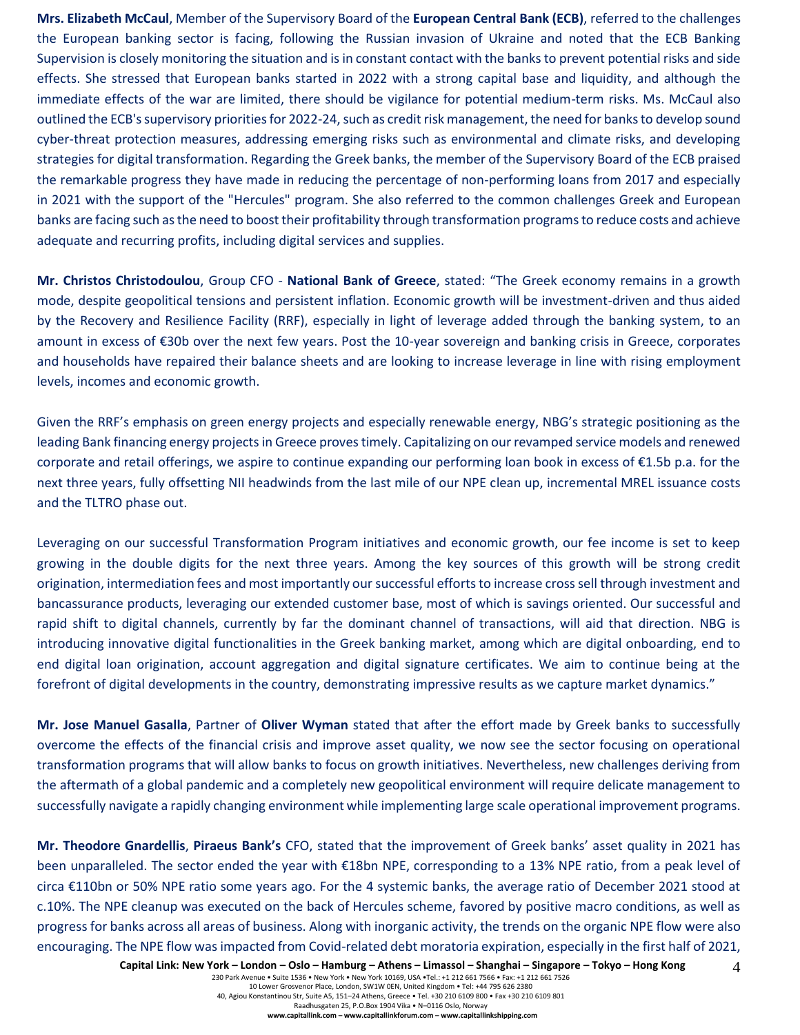**Mrs. Elizabeth McCaul**, Member of the Supervisory Board of the **European Central Bank (ECB)**, referred to the challenges the European banking sector is facing, following the Russian invasion of Ukraine and noted that the ECB Banking Supervision is closely monitoring the situation and is in constant contact with the banks to prevent potential risks and side effects. She stressed that European banks started in 2022 with a strong capital base and liquidity, and although the immediate effects of the war are limited, there should be vigilance for potential medium-term risks. Ms. McCaul also outlined the ECB's supervisory priorities for 2022-24, such as credit risk management, the need for banks to develop sound cyber-threat protection measures, addressing emerging risks such as environmental and climate risks, and developing strategies for digital transformation. Regarding the Greek banks, the member of the Supervisory Board of the ECB praised the remarkable progress they have made in reducing the percentage of non-performing loans from 2017 and especially in 2021 with the support of the "Hercules" program. She also referred to the common challenges Greek and European banks are facing such as the need to boost their profitability through transformation programs to reduce costs and achieve adequate and recurring profits, including digital services and supplies.

**Mr. Christos Christodoulou**, Group CFO - **National Bank of Greece**, stated: "The Greek economy remains in a growth mode, despite geopolitical tensions and persistent inflation. Economic growth will be investment-driven and thus aided by the Recovery and Resilience Facility (RRF), especially in light of leverage added through the banking system, to an amount in excess of €30b over the next few years. Post the 10-year sovereign and banking crisis in Greece, corporates and households have repaired their balance sheets and are looking to increase leverage in line with rising employment levels, incomes and economic growth.

Given the RRF's emphasis on green energy projects and especially renewable energy, NBG's strategic positioning as the leading Bank financing energy projects in Greece proves timely. Capitalizing on our revamped service models and renewed corporate and retail offerings, we aspire to continue expanding our performing loan book in excess of €1.5b p.a. for the next three years, fully offsetting NII headwinds from the last mile of our NPE clean up, incremental MREL issuance costs and the TLTRO phase out.

Leveraging on our successful Transformation Program initiatives and economic growth, our fee income is set to keep growing in the double digits for the next three years. Among the key sources of this growth will be strong credit origination, intermediation fees and most importantly our successful efforts to increase cross sell through investment and bancassurance products, leveraging our extended customer base, most of which is savings oriented. Our successful and rapid shift to digital channels, currently by far the dominant channel of transactions, will aid that direction. NBG is introducing innovative digital functionalities in the Greek banking market, among which are digital onboarding, end to end digital loan origination, account aggregation and digital signature certificates. We aim to continue being at the forefront of digital developments in the country, demonstrating impressive results as we capture market dynamics."

**Mr. Jose Manuel Gasalla**, Partner of **Oliver Wyman** stated that after the effort made by Greek banks to successfully overcome the effects of the financial crisis and improve asset quality, we now see the sector focusing on operational transformation programs that will allow banks to focus on growth initiatives. Nevertheless, new challenges deriving from the aftermath of a global pandemic and a completely new geopolitical environment will require delicate management to successfully navigate a rapidly changing environment while implementing large scale operational improvement programs.

**Mr. Theodore Gnardellis**, **Piraeus Bank's** CFO, stated that the improvement of Greek banks' asset quality in 2021 has been unparalleled. The sector ended the year with €18bn NPE, corresponding to a 13% NPE ratio, from a peak level of circa €110bn or 50% NPE ratio some years ago. For the 4 systemic banks, the average ratio of December 2021 stood at c.10%. The NPE cleanup was executed on the back of Hercules scheme, favored by positive macro conditions, as well as progress for banks across all areas of business. Along with inorganic activity, the trends on the organic NPE flow were also encouraging. The NPE flow was impacted from Covid-related debt moratoria expiration, especially in the first half of 2021,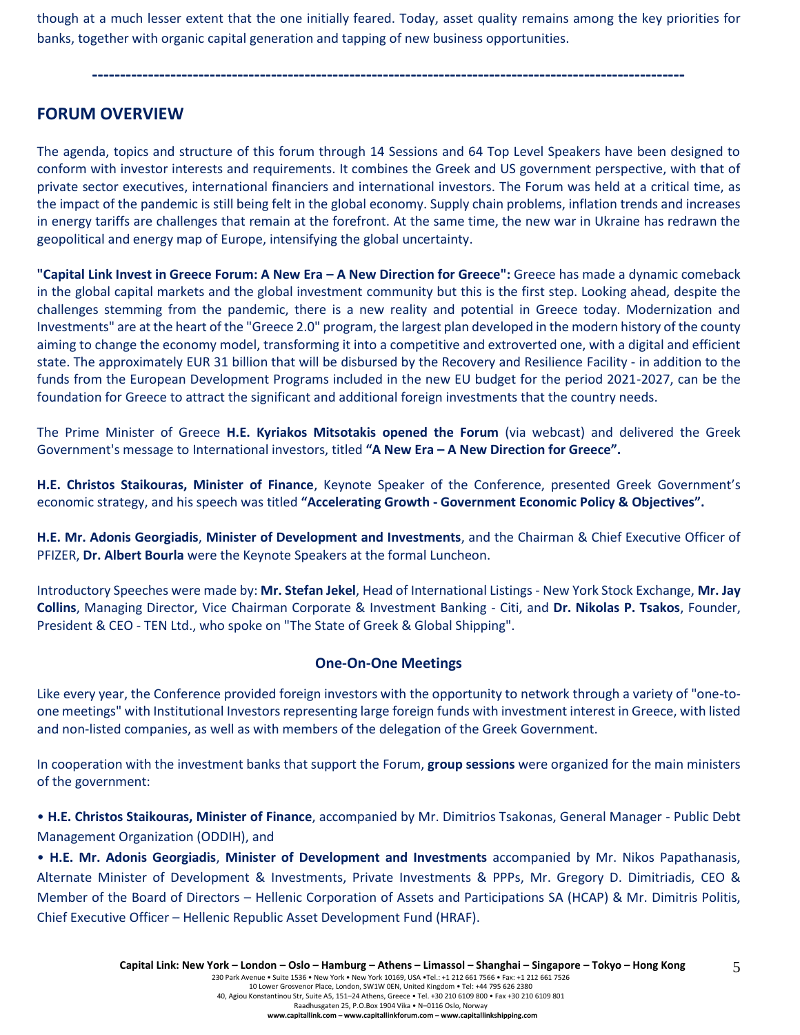though at a much lesser extent that the one initially feared. Today, asset quality remains among the key priorities for banks, together with organic capital generation and tapping of new business opportunities.

**----------------------------------------------------------------------------------------------------------**

## **FORUM OVERVIEW**

The agenda, topics and structure of this forum through 14 Sessions and 64 Top Level Speakers have been designed to conform with investor interests and requirements. It combines the Greek and US government perspective, with that of private sector executives, international financiers and international investors. The Forum was held at a critical time, as the impact of the pandemic is still being felt in the global economy. Supply chain problems, inflation trends and increases in energy tariffs are challenges that remain at the forefront. At the same time, the new war in Ukraine has redrawn the geopolitical and energy map of Europe, intensifying the global uncertainty.

**"Capital Link Invest in Greece Forum: A New Era – A New Direction for Greece":** Greece has made a dynamic comeback in the global capital markets and the global investment community but this is the first step. Looking ahead, despite the challenges stemming from the pandemic, there is a new reality and potential in Greece today. Modernization and Investments" are at the heart of the "Greece 2.0" program, the largest plan developed in the modern history of the county aiming to change the economy model, transforming it into a competitive and extroverted one, with a digital and efficient state. The approximately EUR 31 billion that will be disbursed by the Recovery and Resilience Facility - in addition to the funds from the European Development Programs included in the new EU budget for the period 2021-2027, can be the foundation for Greece to attract the significant and additional foreign investments that the country needs.

The Prime Minister of Greece **H.E. Kyriakos Mitsotakis opened the Forum** (via webcast) and delivered the Greek Government's message to International investors, titled **"A New Era – A New Direction for Greece".**

**H.E. Christos Staikouras, Minister of Finance**, Keynote Speaker of the Conference, presented Greek Government's economic strategy, and his speech was titled **"Accelerating Growth - Government Economic Policy & Objectives".**

**H.E. Mr. Adonis Georgiadis**, **Minister of Development and Investments**, and the Chairman & Chief Executive Officer of PFIZER, **Dr. Albert Bourla** were the Keynote Speakers at the formal Luncheon.

Introductory Speeches were made by: **Mr. Stefan Jekel**, Head of International Listings - New York Stock Exchange, **Mr. Jay Collins**, Managing Director, Vice Chairman Corporate & Investment Banking - Citi, and **Dr. Nikolas P. Tsakos**, Founder, President & CEO - TEN Ltd., who spoke on "The State of Greek & Global Shipping".

#### **One-On-One Meetings**

Like every year, the Conference provided foreign investors with the opportunity to network through a variety of "one-toone meetings" with Institutional Investors representing large foreign funds with investment interest in Greece, with listed and non-listed companies, as well as with members of the delegation of the Greek Government.

In cooperation with the investment banks that support the Forum, **group sessions** were organized for the main ministers of the government:

• **H.E. Christos Staikouras, Minister of Finance**, accompanied by Mr. Dimitrios Tsakonas, General Manager - Public Debt Management Organization (ODDIH), and

• **H.E. Mr. Adonis Georgiadis**, **Minister of Development and Investments** accompanied by Mr. Nikos Papathanasis, Alternate Minister of Development & Investments, Private Investments & PPPs, Mr. Gregory D. Dimitriadis, CEO & Member of the Board of Directors – Hellenic Corporation of Assets and Participations SA (HCAP) & Mr. Dimitris Politis, Chief Executive Officer – Hellenic Republic Asset Development Fund (HRAF).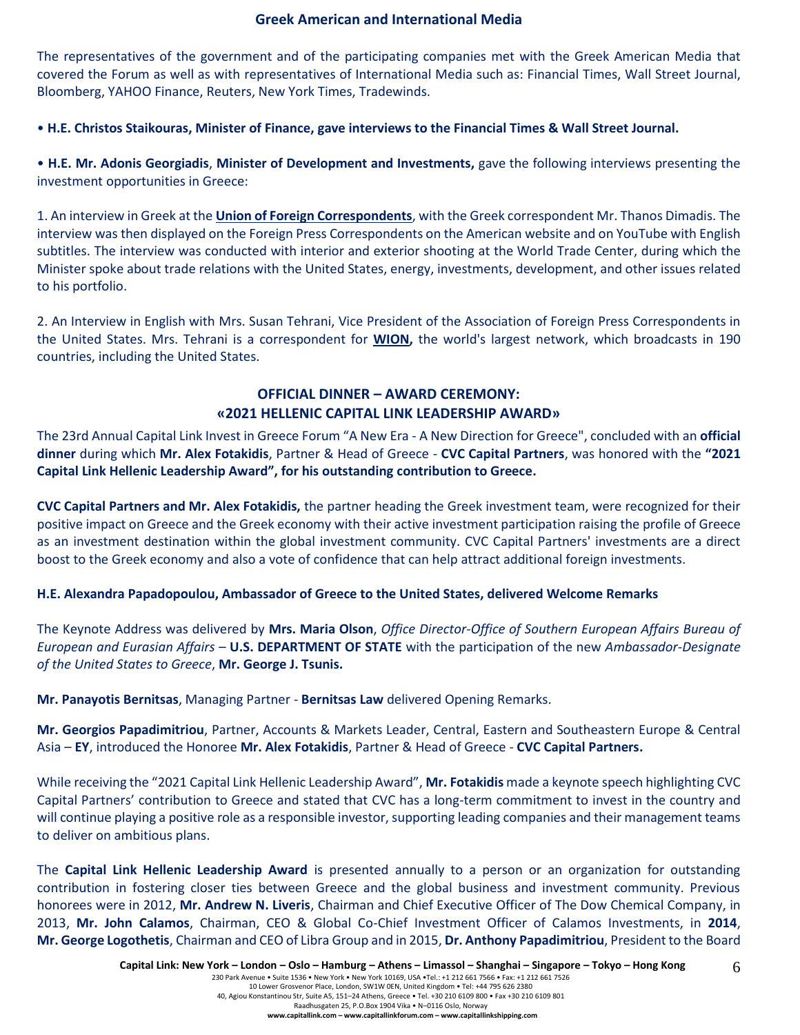#### **Greek American and International Media**

The representatives of the government and of the participating companies met with the Greek American Media that covered the Forum as well as with representatives of International Media such as: Financial Times, Wall Street Journal, Bloomberg, YAHOO Finance, Reuters, New York Times, Tradewinds.

• **H.E. Christos Staikouras, Minister of Finance, gave interviews to the Financial Times & Wall Street Journal.**

• **H.E. Mr. Adonis Georgiadis**, **Minister of Development and Investments,** gave the following interviews presenting the investment opportunities in Greece:

1. An interview in Greek at the **Union of Foreign Correspondents**, with the Greek correspondent Mr. Thanos Dimadis. The interview was then displayed on the Foreign Press Correspondents on the American website and on YouTube with English subtitles. The interview was conducted with interior and exterior shooting at the World Trade Center, during which the Minister spoke about trade relations with the United States, energy, investments, development, and other issues related to his portfolio.

2. An Interview in English with Mrs. Susan Tehrani, Vice President of the Association of Foreign Press Correspondents in the United States. Mrs. Tehrani is a correspondent for **WION,** the world's largest network, which broadcasts in 190 countries, including the United States.

### **OFFICIAL DINNER – AWARD CEREMONY: «2021 HELLENIC CAPITAL LINK LEADERSHIP AWARD»**

The 23rd Annual Capital Link Invest in Greece Forum "A New Era - A New Direction for Greece", concluded with an **official dinner** during which **Mr. Alex Fotakidis**, Partner & Head of Greece - **CVC Capital Partners**, was honored with the **"2021 Capital Link Hellenic Leadership Award", for his outstanding contribution to Greece.**

**CVC Capital Partners and Mr. Alex Fotakidis,** the partner heading the Greek investment team, were recognized for their positive impact on Greece and the Greek economy with their active investment participation raising the profile of Greece as an investment destination within the global investment community. CVC Capital Partners' investments are a direct boost to the Greek economy and also a vote of confidence that can help attract additional foreign investments.

#### **H.E. Alexandra Papadopoulou, Ambassador of Greece to the United States, delivered Welcome Remarks**

The Keynote Address was delivered by **Mrs. Maria Olson**, *Office Director-Office of Southern European Affairs Bureau of European and Eurasian Affairs* – **U.S. DEPARTMENT OF STATE** with the participation of the new *Ambassador-Designate of the United States to Greece*, **Mr. George J. Tsunis.**

**Mr. Panayotis Bernitsas**, Managing Partner - **Bernitsas Law** delivered Opening Remarks.

**Mr. Georgios Papadimitriou**, Partner, Accounts & Markets Leader, Central, Eastern and Southeastern Europe & Central Asia – **EY**, introduced the Honoree **Mr. Alex Fotakidis**, Partner & Head of Greece - **CVC Capital Partners.** 

While receiving the "2021 Capital Link Hellenic Leadership Award", **Mr. Fotakidis** made a keynote speech highlighting CVC Capital Partners' contribution to Greece and stated that CVC has a long-term commitment to invest in the country and will continue playing a positive role as a responsible investor, supporting leading companies and their management teams to deliver on ambitious plans.

The **Capital Link Hellenic Leadership Award** is presented annually to a person or an organization for outstanding contribution in fostering closer ties between Greece and the global business and investment community. Previous honorees were in 2012, **Mr. Andrew N. Liveris**, Chairman and Chief Executive Officer of The Dow Chemical Company, in 2013, **Mr. John Calamos**, Chairman, CEO & Global Co-Chief Investment Officer of Calamos Investments, in **2014**, **Mr. George Logothetis**, Chairman and CEO of Libra Group and in 2015, **Dr. Anthony Papadimitriou**, President to the Board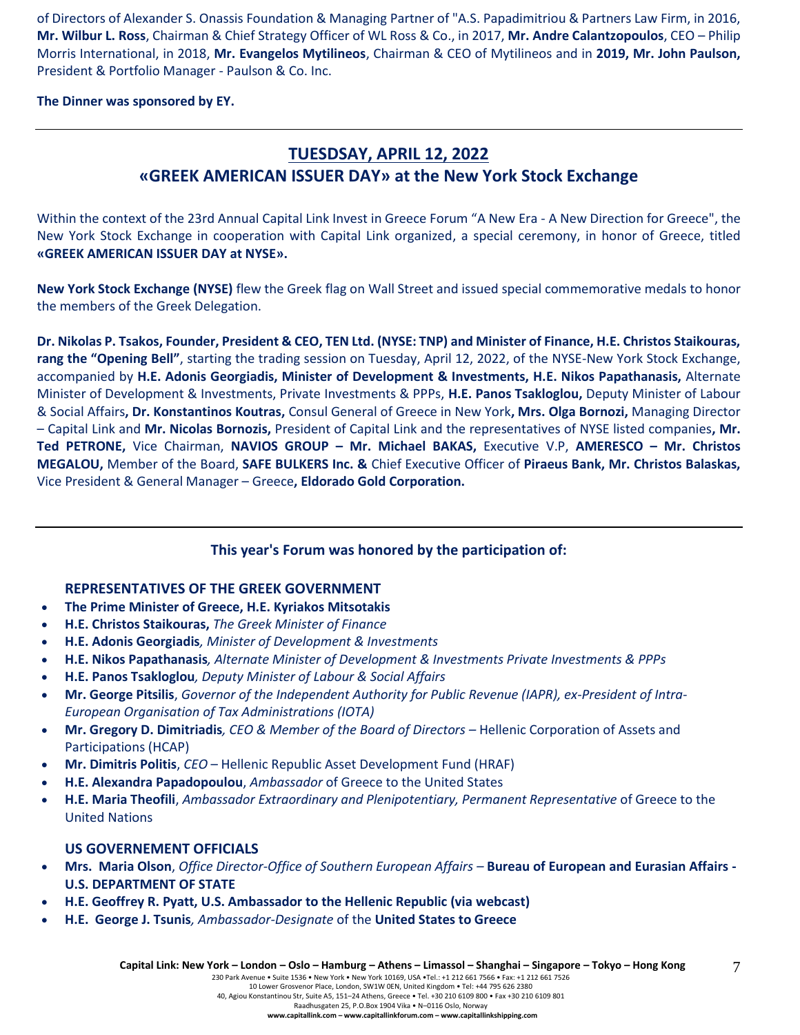of Directors of Alexander S. Onassis Foundation & Managing Partner of "A.S. Papadimitriou & Partners Law Firm, in 2016, **Mr. Wilbur L. Ross**, Chairman & Chief Strategy Officer of WL Ross & Co., in 2017, **Mr. Andre Calantzopoulos**, CEO – Philip Morris International, in 2018, **Mr. Evangelos Mytilineos**, Chairman & CEO of Mytilineos and in **2019, Mr. John Paulson,** President & Portfolio Manager - Paulson & Co. Inc.

**The Dinner was sponsored by ΕΥ.**

# **TUESDSAY, APRIL 12, 2022 «GREEK AMERICAN ISSUER DAY» at the New York Stock Exchange**

Within the context of the 23rd Annual Capital Link Invest in Greece Forum "A New Era - A New Direction for Greece", the New York Stock Exchange in cooperation with Capital Link organized, a special ceremony, in honor of Greece, titled **«GREEK AMERICAN ISSUER DAY at NYSE».**

**New York Stock Exchange (NYSE)** flew the Greek flag on Wall Street and issued special commemorative medals to honor the members of the Greek Delegation.

**Dr. Nikolas P. Tsakos, Founder, President & CEO, TEN Ltd. (NYSE: TNP) and Minister of Finance, H.E. Christos Staikouras, rang the "Opening Bell"**, starting the trading session on Tuesday, April 12, 2022, of the NYSE-New York Stock Exchange, accompanied by **H.E. Adonis Georgiadis, Minister of Development & Investments, H.E. Nikos Papathanasis,** Alternate Minister of Development & Investments, Private Investments & PPPs, **H.E. Panos Tsakloglou,** Deputy Minister of Labour & Social Affairs**, Dr. Konstantinos Koutras,** Consul General of Greece in New York**, Mrs. Olga Bornozi,** Managing Director – Capital Link and **Mr. Nicolas Bornozis,** President of Capital Link and the representatives of NYSE listed companies**, Mr. Τed PETRONE,** Vice Chairman, **NAVIOS GROUP – Mr. Michael BAKAS,** Executive V.P, **AMERESCO – Mr. Christos MEGALOU,** Member of the Board, **SAFE BULKERS Inc. &** Chief Executive Officer of **Piraeus Bank, Mr. Christos Balaskas,**  Vice President & General Manager – Greece**, Eldorado Gold Corporation.**

# **This year's Forum was honored by the participation of:**

### **REPRESENTATIVES OF THE GREEK GOVERNMENT**

- **The Prime Minister of Greece, H.E. Kyriakos Mitsotakis**
- **H.E. Christos Staikouras,** *The Greek Minister of Finance*
- **H.E. Adonis Georgiadis***, Minister of Development & Investments*
- **Η.Ε. Nikos Papathanasis***, Alternate Minister of Development & Investments Private Investments & PPPs*
- **H.E. Panos Tsakloglou***, Deputy Minister of Labour & Social Affairs*
- **Mr. George Pitsilis**, *Governor of the Independent Authority for Public Revenue (IAPR), ex-President of Intra-European Organisation of Tax Administrations (IOTA)*
- **Mr. Gregory D. Dimitriadis***, CEO & Member of the Board of Directors –* Hellenic Corporation of Assets and Participations (HCAP)
- **Mr. Dimitris Politis**, *CEO* Hellenic Republic Asset Development Fund (HRAF)
- **H.E. Alexandra Papadopoulou**, *Ambassador* of Greece to the United States
- **H.E. Maria Theofili**, *Ambassador Extraordinary and Plenipotentiary, Permanent Representative* of Greece to the United Nations

### **US GOVERNEMENT OFFICIALS**

- **Mrs. Maria Olson**, *Office Director-Office of Southern European Affairs –* **Bureau of European and Eurasian Affairs - U.S. DEPARTMENT OF STATE**
- **H.E. Geoffrey R. Pyatt, U.S. Ambassador to the Hellenic Republic (via webcast)**
- **H.E. George J. Tsunis***, Ambassador-Designate* of the **United States to Greece**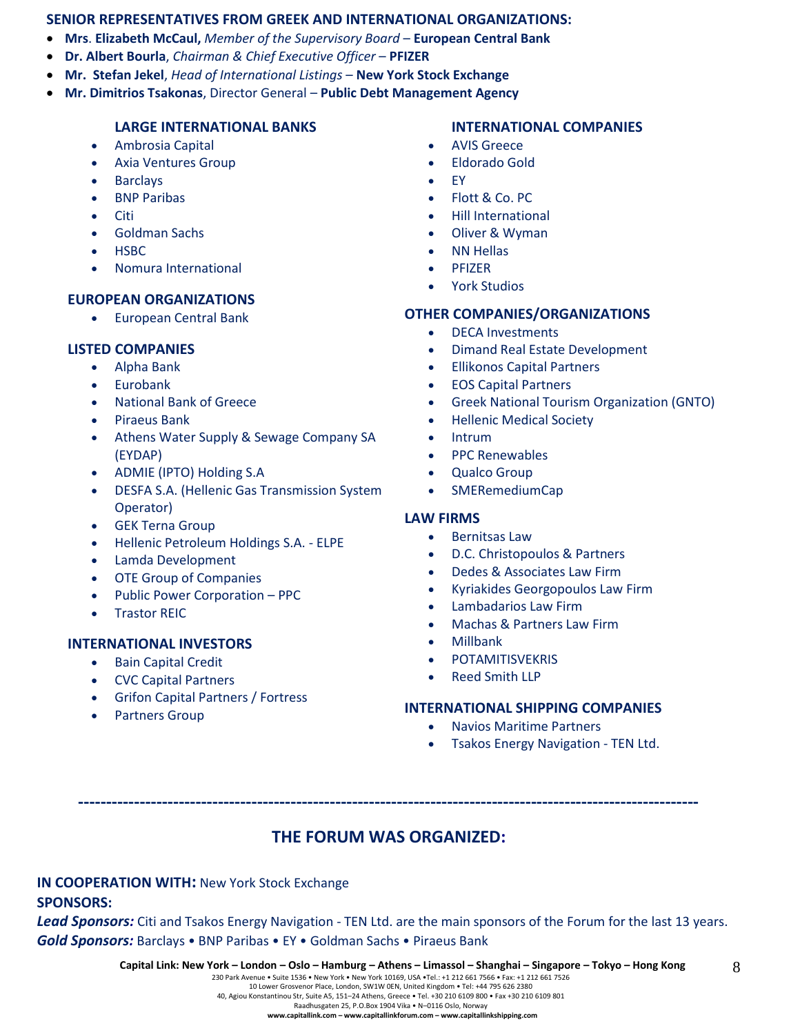#### **SENIOR REPRESENTATIVES FROM GREEK AND INTERNATIONAL ORGANIZATIONS:**

- **Mrs**. **Elizabeth McCaul,** *Member of the Supervisory Board* **European Central Bank**
- **Dr. Albert Bourla**, *Chairman & Chief Executive Officer* **PFIZER**
- **Mr. Stefan Jekel**, *Head of International Listings* **New York Stock Exchange**
- **Mr. Dimitrios Tsakonas**, Director General **Public Debt Management Agency**

#### **LARGE INTERNATIONAL BANKS**

- Ambrosia Capital
- Axia Ventures Group
- **Barclays**
- **BNP Paribas**
- Citi
- Goldman Sachs
- HSBC
- Nomura International

#### **EUROPEAN ORGANIZATIONS**

• European Central Bank

#### **LISTED COMPANIES**

- Alpha Bank
- Eurobank
- National Bank of Greece
- Piraeus Bank
- Athens Water Supply & Sewage Company SA (EYDAP)
- ADMIE (IPTO) Holding S.A
- DESFA S.A. (Hellenic Gas Transmission System Operator)
- **GEK Terna Group**
- Hellenic Petroleum Holdings S.A. ELPE
- Lamda Development
- OTE Group of Companies
- Public Power Corporation PPC
- **Trastor REIC**

#### **INTERNATIONAL INVESTORS**

- Bain Capital Credit
- CVC Capital Partners
- Grifon Capital Partners / Fortress
- Partners Group

#### **INTERNATIONAL COMPANIES**

- AVIS Greece
- Eldorado Gold
- EY
- Flott & Co. PC
- Hill International
- Oliver & Wyman
- **NN Hellas**
- PFIZER
- York Studios

#### **OTHER COMPANIES/ORGANIZATIONS**

- DECA Investments
- Dimand Real Estate Development
- Ellikonos Capital Partners
- EOS Capital Partners
- Greek National Tourism Organization (GNTO)
- Hellenic Medical Society
- **Intrum**
- PPC Renewables
- Qualco Group
- SMERemediumCap

#### **LAW FIRMS**

- Bernitsas Law
- D.C. Christopoulos & Partners
- Dedes & Associates Law Firm
- Kyriakides Georgopoulos Law Firm
- Lambadarios Law Firm
- Machas & Partners Law Firm
- Millbank
- **POTAMITISVEKRIS**
- Reed Smith LLP

#### **INTERNATIONAL SHIPPING COMPANIES**

- Navios Maritime Partners
- Tsakos Energy Navigation TEN Ltd.

# **THE FORUM WAS ORGANIZED:**

**---------------------------------------------------------------------------------------------------------------**

#### **IN COOPERATION WITH:** New York Stock Exchange

#### **SPONSORS:**

*Lead Sponsors:* Citi and Tsakos Energy Navigation - TEN Ltd. are the main sponsors of the Forum for the last 13 years. *Gold Sponsors:* Barclays • BNP Paribas • EY • Goldman Sachs • Piraeus Bank

10 Lower Grosvenor Place, London, SW1W 0EN, United Kingdom • Tel: +44 795 626 2380 40, Agiou Konstantinou Str, Suite A5, 151–24 Athens, Greece • Tel. +30 210 6109 800 • Fax +30 210 6109 801

Raadhusgaten 25, P.O.Box 1904 Vika • N–0116 Oslo, Norway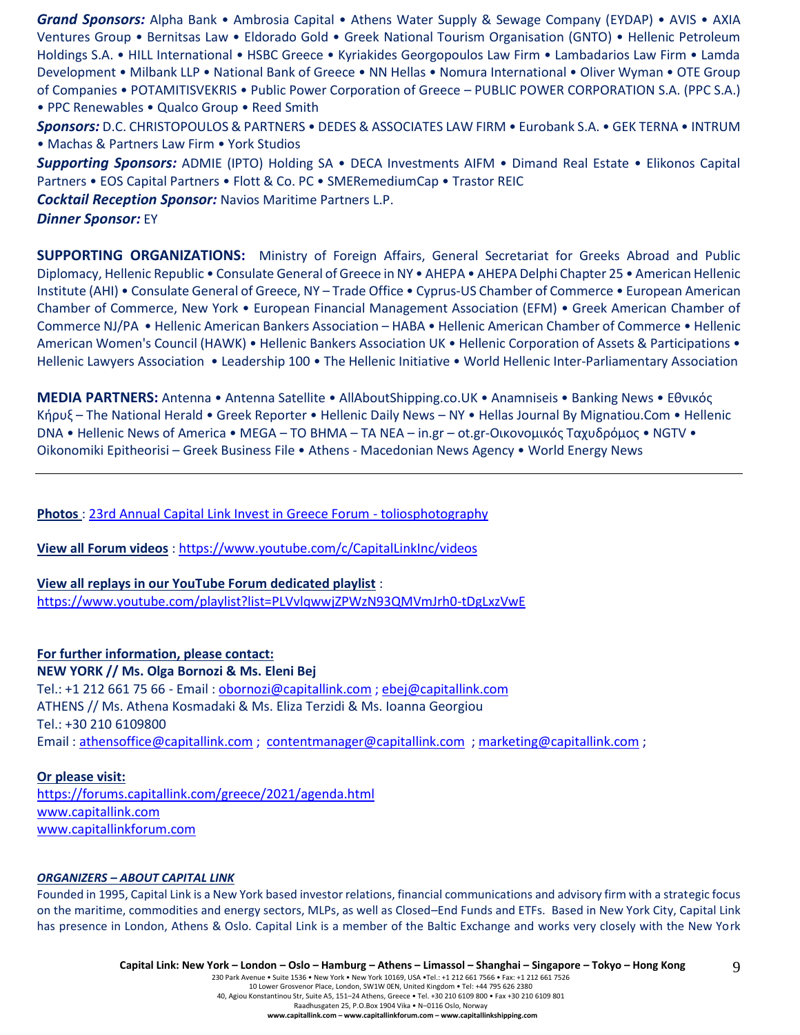*Grand Sponsors:* Alpha Bank • Ambrosia Capital • Athens Water Supply & Sewage Company (EYDAP) • AVIS • AXIA Ventures Group • Bernitsas Law • Eldorado Gold • Greek National Tourism Organisation (GNTO) • Hellenic Petroleum Holdings S.A. • HILL International • HSBC Greece • Kyriakides Georgopoulos Law Firm • Lambadarios Law Firm • Lamda Development • Milbank LLP • National Bank of Greece • NN Hellas • Nomura International • Oliver Wyman • OTE Group of Companies • POTAMITISVEKRIS • Public Power Corporation of Greece – PUBLIC POWER CORPORATION S.A. (PPC S.A.) • PPC Renewables • Qualco Group • Reed Smith

*Sponsors:* D.C. CHRISTOPOULOS & PARTNERS • DEDES & ASSOCIATES LAW FIRM • Eurobank S.A. • GEK TERNA • INTRUM • Machas & Partners Law Firm • York Studios

*Supporting Sponsors:* ADMIE (IPTO) Holding SA • DECA Investments AIFM • Dimand Real Estate • Elikonos Capital Partners • EOS Capital Partners • Flott & Co. PC • SMERemediumCap • Trastor REIC

*Cocktail Reception Sponsor:* Navios Maritime Partners L.P.

*Dinner Sponsor:* EY

**SUPPORTING ORGANIZATIONS:** Ministry of Foreign Affairs, General Secretariat for Greeks Abroad and Public Diplomacy, Hellenic Republic • Consulate General of Greece in NY • AHEPA • AHEPA Delphi Chapter 25 • American Hellenic Institute (AHI) • Consulate General of Greece, NY – Trade Office • Cyprus-US Chamber of Commerce • European American Chamber of Commerce, New York • European Financial Management Association (EFM) • Greek American Chamber of Commerce NJ/PA • Hellenic American Bankers Association – HABA • Hellenic American Chamber of Commerce • Hellenic American Women's Council (HAWK) • Hellenic Bankers Association UK • Hellenic Corporation of Assets & Participations • Hellenic Lawyers Association • Leadership 100 • The Hellenic Initiative • World Hellenic Inter-Parliamentary Association

**MEDIA PARTNERS:** Antenna • Antenna Satellite • AllAboutShipping.co.UK • Anamniseis • Banking News • Εθνικός Κήρυξ – The National Herald • Greek Reporter • Hellenic Daily News – NY • Hellas Journal By Mignatiou.Com • Hellenic DNA • Hellenic News of America • MEGA – TO BHMA – TA NEA – in.gr – ot.gr-Οικονομικός Ταχυδρόμος • NGTV • Oikonomiki Epitheorisi – Greek Business File • Athens - Macedonian News Agency • World Energy News

**Photos** : [23rd Annual Capital Link Invest in Greece Forum -](https://www.toliosphotography.com/ToliosEvents/CAPITAL-LINK-/23rd-Annual-Capital-Link-New-York-City/n-RHX6QD/) toliosphotography

**View all Forum videos** :<https://www.youtube.com/c/CapitalLinkInc/videos>

**View all replays in our YouTube Forum dedicated playlist** : <https://www.youtube.com/playlist?list=PLVvlqwwjZPWzN93QMVmJrh0-tDgLxzVwE>

**For further information, please contact: NEW YORK // Ms. Olga Bornozi & Ms. Eleni Bej**  Tel.: +1 212 661 75 66 - Email : [obornozi@capitallink.com](mailto:obornozi@capitallink.com) [; ebej@capitallink.com](mailto:ebej@capitallink.com) ATHENS // Ms. Athena Kosmadaki & Ms. Eliza Terzidi & Ms. Ioanna Georgiou Tel.: +30 210 6109800 Email : [athensoffice@capitallink.com](mailto:athensoffice@capitallink.com) ; [contentmanager@capitallink.com](mailto:contentmanager@capitallink.com) ; marketing@capitallink.com ;

#### **Or please visit:**

<https://forums.capitallink.com/greece/2021/agenda.html> [www.capitallink.com](http://www.capitallink.com/)  [www.capitallinkforum.com](http://www.capitallinkforum.com/)

#### *ORGANIZERS – ABOUT CAPITAL LINK*

Founded in 1995, Capital Link is a New York based investor relations, financial communications and advisory firm with a strategic focus on the maritime, commodities and energy sectors, MLPs, as well as Closed–End Funds and ETFs. Based in New York City, Capital Link has presence in London, Athens & Oslo. Capital Link is a member of the Baltic Exchange and works very closely with the New York